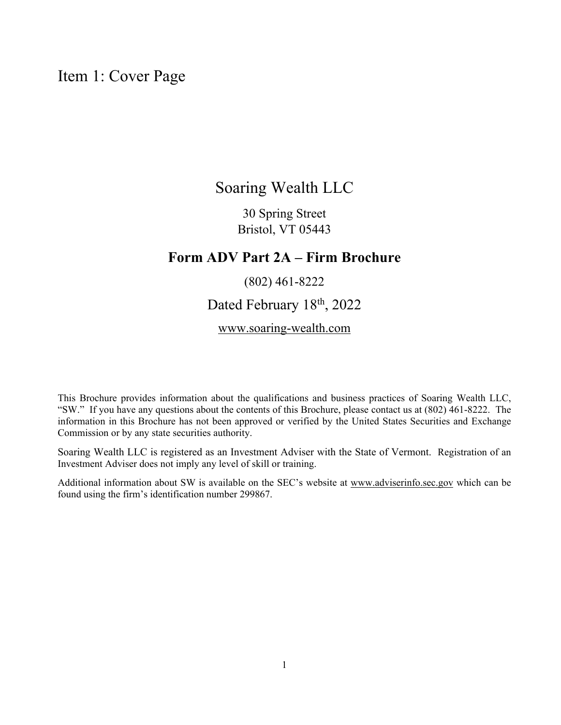## Item 1: Cover Page

## Soaring Wealth LLC

30 Spring Street Bristol, VT 05443

## **Form ADV Part 2A – Firm Brochure**

## (802) 461-8222

Dated February 18<sup>th</sup>, 2022

www.soaring-wealth.com

This Brochure provides information about the qualifications and business practices of Soaring Wealth LLC, "SW." If you have any questions about the contents of this Brochure, please contact us at (802) 461-8222. The information in this Brochure has not been approved or verified by the United States Securities and Exchange Commission or by any state securities authority.

Soaring Wealth LLC is registered as an Investment Adviser with the State of Vermont. Registration of an Investment Adviser does not imply any level of skill or training.

Additional information about SW is available on the SEC's website at www.adviserinfo.sec.gov which can be found using the firm's identification number 299867.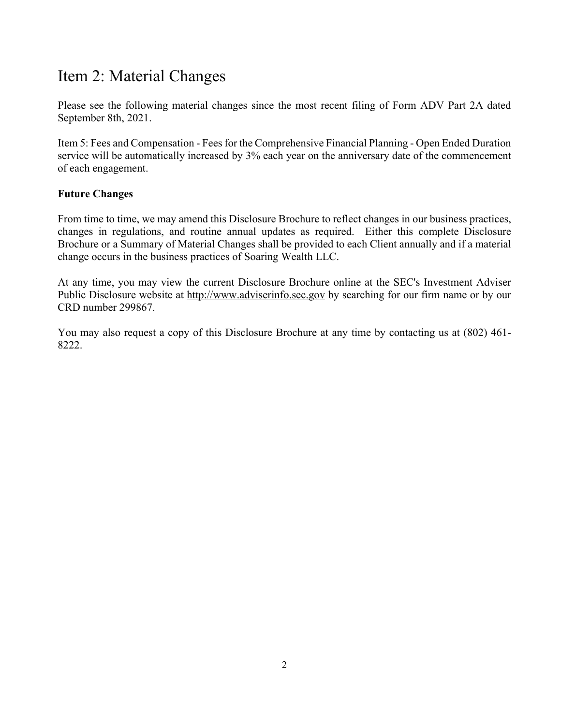# Item 2: Material Changes

Please see the following material changes since the most recent filing of Form ADV Part 2A dated September 8th, 2021.

Item 5: Fees and Compensation - Fees for the Comprehensive Financial Planning - Open Ended Duration service will be automatically increased by 3% each year on the anniversary date of the commencement of each engagement.

### **Future Changes**

From time to time, we may amend this Disclosure Brochure to reflect changes in our business practices, changes in regulations, and routine annual updates as required. Either this complete Disclosure Brochure or a Summary of Material Changes shall be provided to each Client annually and if a material change occurs in the business practices of Soaring Wealth LLC.

At any time, you may view the current Disclosure Brochure online at the SEC's Investment Adviser Public Disclosure website at http://www.adviserinfo.sec.gov by searching for our firm name or by our CRD number 299867.

You may also request a copy of this Disclosure Brochure at any time by contacting us at (802) 461- 8222.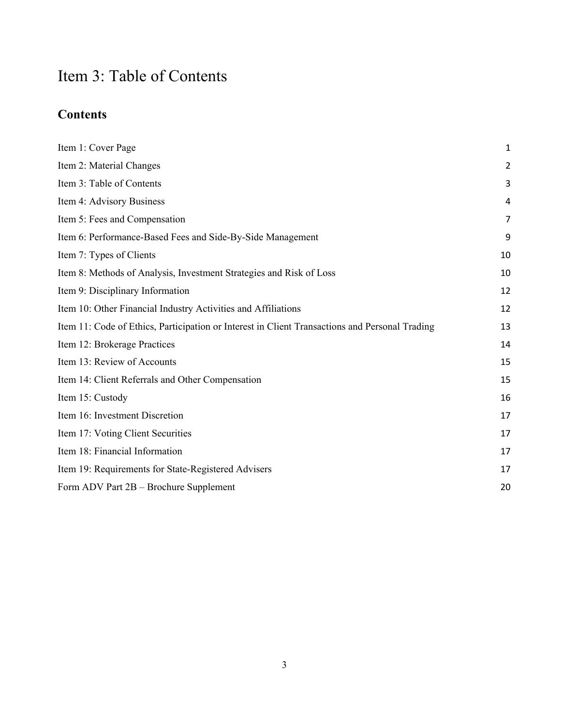# Item 3: Table of Contents

# **Contents**

| Item 1: Cover Page                                                                             | $\mathbf 1$ |
|------------------------------------------------------------------------------------------------|-------------|
| Item 2: Material Changes                                                                       | 2           |
| Item 3: Table of Contents                                                                      | 3           |
| Item 4: Advisory Business                                                                      | 4           |
| Item 5: Fees and Compensation                                                                  | 7           |
| Item 6: Performance-Based Fees and Side-By-Side Management                                     | 9           |
| Item 7: Types of Clients                                                                       | 10          |
| Item 8: Methods of Analysis, Investment Strategies and Risk of Loss                            | 10          |
| Item 9: Disciplinary Information                                                               | 12          |
| Item 10: Other Financial Industry Activities and Affiliations                                  | 12          |
| Item 11: Code of Ethics, Participation or Interest in Client Transactions and Personal Trading | 13          |
| Item 12: Brokerage Practices                                                                   | 14          |
| Item 13: Review of Accounts                                                                    | 15          |
| Item 14: Client Referrals and Other Compensation                                               | 15          |
| Item 15: Custody                                                                               | 16          |
| Item 16: Investment Discretion                                                                 | 17          |
| Item 17: Voting Client Securities                                                              | 17          |
| Item 18: Financial Information                                                                 | 17          |
| Item 19: Requirements for State-Registered Advisers                                            | 17          |
| Form ADV Part 2B - Brochure Supplement                                                         | 20          |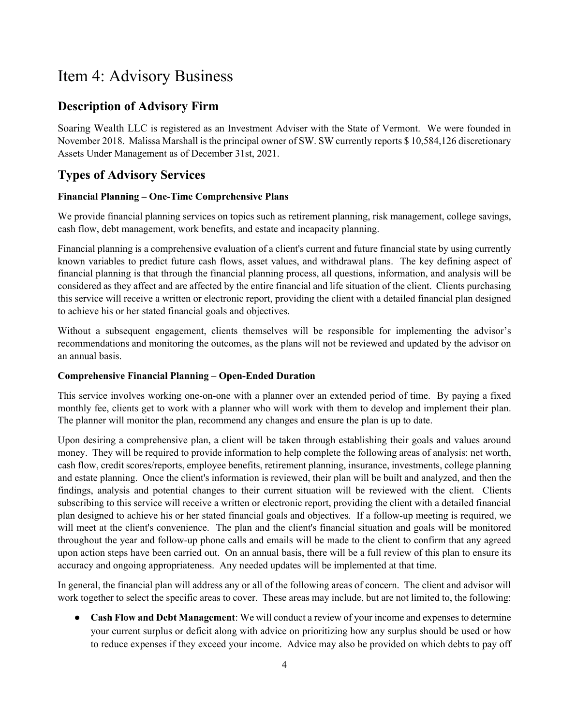# Item 4: Advisory Business

## **Description of Advisory Firm**

Soaring Wealth LLC is registered as an Investment Adviser with the State of Vermont. We were founded in November 2018. Malissa Marshall is the principal owner of SW. SW currently reports \$ 10,584,126 discretionary Assets Under Management as of December 31st, 2021.

## **Types of Advisory Services**

#### **Financial Planning – One-Time Comprehensive Plans**

We provide financial planning services on topics such as retirement planning, risk management, college savings, cash flow, debt management, work benefits, and estate and incapacity planning.

Financial planning is a comprehensive evaluation of a client's current and future financial state by using currently known variables to predict future cash flows, asset values, and withdrawal plans. The key defining aspect of financial planning is that through the financial planning process, all questions, information, and analysis will be considered as they affect and are affected by the entire financial and life situation of the client. Clients purchasing this service will receive a written or electronic report, providing the client with a detailed financial plan designed to achieve his or her stated financial goals and objectives.

Without a subsequent engagement, clients themselves will be responsible for implementing the advisor's recommendations and monitoring the outcomes, as the plans will not be reviewed and updated by the advisor on an annual basis.

#### **Comprehensive Financial Planning – Open-Ended Duration**

This service involves working one-on-one with a planner over an extended period of time. By paying a fixed monthly fee, clients get to work with a planner who will work with them to develop and implement their plan. The planner will monitor the plan, recommend any changes and ensure the plan is up to date.

Upon desiring a comprehensive plan, a client will be taken through establishing their goals and values around money. They will be required to provide information to help complete the following areas of analysis: net worth, cash flow, credit scores/reports, employee benefits, retirement planning, insurance, investments, college planning and estate planning. Once the client's information is reviewed, their plan will be built and analyzed, and then the findings, analysis and potential changes to their current situation will be reviewed with the client. Clients subscribing to this service will receive a written or electronic report, providing the client with a detailed financial plan designed to achieve his or her stated financial goals and objectives. If a follow-up meeting is required, we will meet at the client's convenience. The plan and the client's financial situation and goals will be monitored throughout the year and follow-up phone calls and emails will be made to the client to confirm that any agreed upon action steps have been carried out. On an annual basis, there will be a full review of this plan to ensure its accuracy and ongoing appropriateness. Any needed updates will be implemented at that time.

In general, the financial plan will address any or all of the following areas of concern. The client and advisor will work together to select the specific areas to cover. These areas may include, but are not limited to, the following:

● **Cash Flow and Debt Management**: We will conduct a review of your income and expenses to determine your current surplus or deficit along with advice on prioritizing how any surplus should be used or how to reduce expenses if they exceed your income. Advice may also be provided on which debts to pay off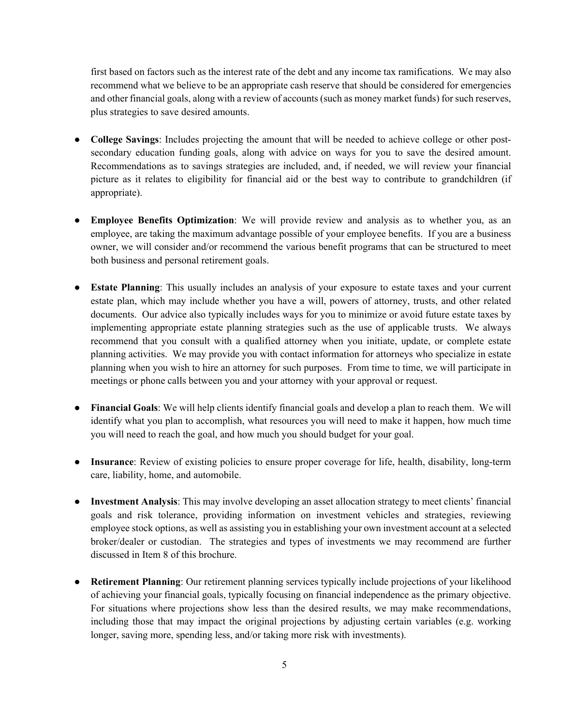first based on factors such as the interest rate of the debt and any income tax ramifications. We may also recommend what we believe to be an appropriate cash reserve that should be considered for emergencies and other financial goals, along with a review of accounts (such as money market funds) for such reserves, plus strategies to save desired amounts.

- **College Savings**: Includes projecting the amount that will be needed to achieve college or other postsecondary education funding goals, along with advice on ways for you to save the desired amount. Recommendations as to savings strategies are included, and, if needed, we will review your financial picture as it relates to eligibility for financial aid or the best way to contribute to grandchildren (if appropriate).
- **Employee Benefits Optimization**: We will provide review and analysis as to whether you, as an employee, are taking the maximum advantage possible of your employee benefits. If you are a business owner, we will consider and/or recommend the various benefit programs that can be structured to meet both business and personal retirement goals.
- **Estate Planning**: This usually includes an analysis of your exposure to estate taxes and your current estate plan, which may include whether you have a will, powers of attorney, trusts, and other related documents. Our advice also typically includes ways for you to minimize or avoid future estate taxes by implementing appropriate estate planning strategies such as the use of applicable trusts. We always recommend that you consult with a qualified attorney when you initiate, update, or complete estate planning activities. We may provide you with contact information for attorneys who specialize in estate planning when you wish to hire an attorney for such purposes. From time to time, we will participate in meetings or phone calls between you and your attorney with your approval or request.
- **Financial Goals**: We will help clients identify financial goals and develop a plan to reach them. We will identify what you plan to accomplish, what resources you will need to make it happen, how much time you will need to reach the goal, and how much you should budget for your goal.
- **Insurance**: Review of existing policies to ensure proper coverage for life, health, disability, long-term care, liability, home, and automobile.
- **Investment Analysis**: This may involve developing an asset allocation strategy to meet clients' financial goals and risk tolerance, providing information on investment vehicles and strategies, reviewing employee stock options, as well as assisting you in establishing your own investment account at a selected broker/dealer or custodian. The strategies and types of investments we may recommend are further discussed in Item 8 of this brochure.
- **Retirement Planning**: Our retirement planning services typically include projections of your likelihood of achieving your financial goals, typically focusing on financial independence as the primary objective. For situations where projections show less than the desired results, we may make recommendations, including those that may impact the original projections by adjusting certain variables (e.g. working longer, saving more, spending less, and/or taking more risk with investments).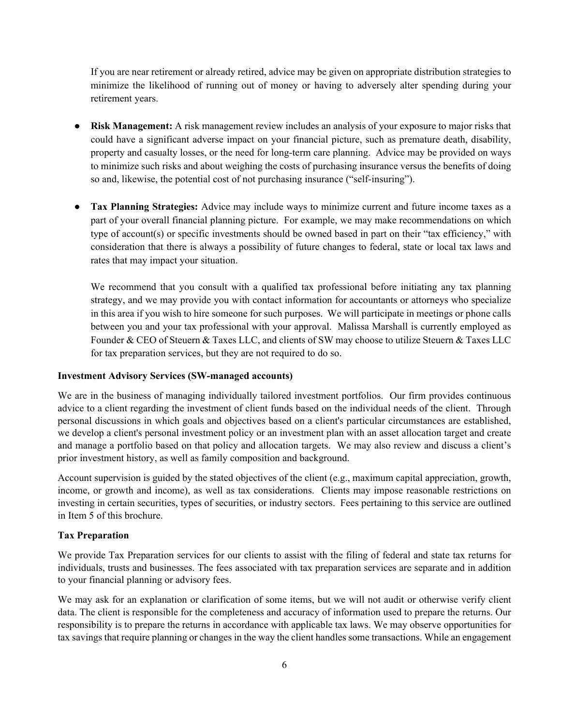If you are near retirement or already retired, advice may be given on appropriate distribution strategies to minimize the likelihood of running out of money or having to adversely alter spending during your retirement years.

- **Risk Management:** A risk management review includes an analysis of your exposure to major risks that could have a significant adverse impact on your financial picture, such as premature death, disability, property and casualty losses, or the need for long‐term care planning. Advice may be provided on ways to minimize such risks and about weighing the costs of purchasing insurance versus the benefits of doing so and, likewise, the potential cost of not purchasing insurance ("self‐insuring").
- **Tax Planning Strategies:** Advice may include ways to minimize current and future income taxes as a part of your overall financial planning picture. For example, we may make recommendations on which type of account(s) or specific investments should be owned based in part on their "tax efficiency," with consideration that there is always a possibility of future changes to federal, state or local tax laws and rates that may impact your situation.

We recommend that you consult with a qualified tax professional before initiating any tax planning strategy, and we may provide you with contact information for accountants or attorneys who specialize in this area if you wish to hire someone for such purposes. We will participate in meetings or phone calls between you and your tax professional with your approval. Malissa Marshall is currently employed as Founder & CEO of Steuern & Taxes LLC, and clients of SW may choose to utilize Steuern & Taxes LLC for tax preparation services, but they are not required to do so.

#### **Investment Advisory Services (SW-managed accounts)**

We are in the business of managing individually tailored investment portfolios. Our firm provides continuous advice to a client regarding the investment of client funds based on the individual needs of the client. Through personal discussions in which goals and objectives based on a client's particular circumstances are established, we develop a client's personal investment policy or an investment plan with an asset allocation target and create and manage a portfolio based on that policy and allocation targets. We may also review and discuss a client's prior investment history, as well as family composition and background.

Account supervision is guided by the stated objectives of the client (e.g., maximum capital appreciation, growth, income, or growth and income), as well as tax considerations. Clients may impose reasonable restrictions on investing in certain securities, types of securities, or industry sectors. Fees pertaining to this service are outlined in Item 5 of this brochure.

#### **Tax Preparation**

We provide Tax Preparation services for our clients to assist with the filing of federal and state tax returns for individuals, trusts and businesses. The fees associated with tax preparation services are separate and in addition to your financial planning or advisory fees.

We may ask for an explanation or clarification of some items, but we will not audit or otherwise verify client data. The client is responsible for the completeness and accuracy of information used to prepare the returns. Our responsibility is to prepare the returns in accordance with applicable tax laws. We may observe opportunities for tax savings that require planning or changes in the way the client handles some transactions. While an engagement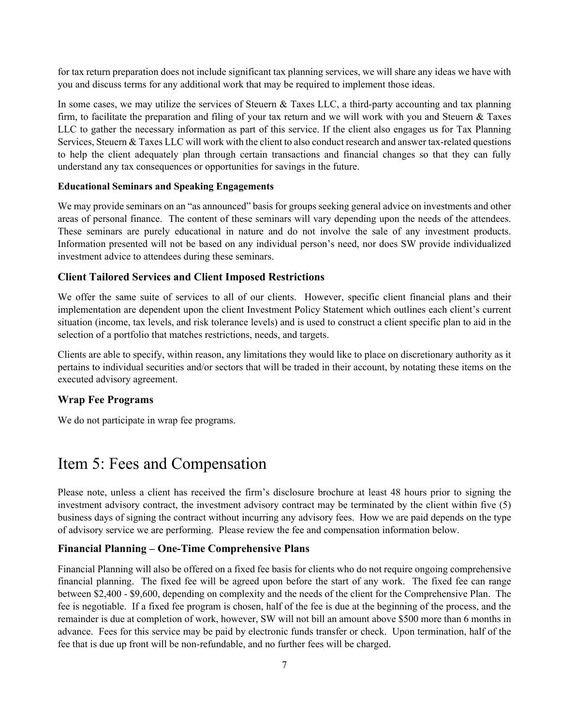for tax return preparation does not include significant tax planning services, we will share any ideas we have with you and discuss terms for any additional work that may be required to implement those ideas.

In some cases, we may utilize the services of Steuern & Taxes LLC, a third-party accounting and tax planning firm, to facilitate the preparation and filing of your tax return and we will work with you and Steuern & Taxes LLC to gather the necessary information as part of this service. If the client also engages us for Tax Planning Services, Steuern & Taxes LLC will work with the client to also conduct research and answer tax-related questions to help the client adequately plan through certain transactions and financial changes so that they can fully understand any tax consequences or opportunities for savings in the future.

#### **Educational Seminars and Speaking Engagements**

We may provide seminars on an "as announced" basis for groups seeking general advice on investments and other areas of personal finance. The content of these seminars will vary depending upon the needs of the attendees. These seminars are purely educational in nature and do not involve the sale of any investment products. Information presented will not be based on any individual person's need, nor does SW provide individualized investment advice to attendees during these seminars.

#### **Client Tailored Services and Client Imposed Restrictions**

We offer the same suite of services to all of our clients. However, specific client financial plans and their implementation are dependent upon the client Investment Policy Statement which outlines each client's current situation (income, tax levels, and risk tolerance levels) and is used to construct a client specific plan to aid in the selection of a portfolio that matches restrictions, needs, and targets.

Clients are able to specify, within reason, any limitations they would like to place on discretionary authority as it pertains to individual securities and/or sectors that will be traded in their account, by notating these items on the executed advisory agreement.

#### **Wrap Fee Programs**

We do not participate in wrap fee programs.

## Item 5: Fees and Compensation

Please note, unless a client has received the firm's disclosure brochure at least 48 hours prior to signing the investment advisory contract, the investment advisory contract may be terminated by the client within five (5) business days of signing the contract without incurring any advisory fees. How we are paid depends on the type of advisory service we are performing. Please review the fee and compensation information below.

#### **Financial Planning – One-Time Comprehensive Plans**

Financial Planning will also be offered on a fixed fee basis for clients who do not require ongoing comprehensive financial planning. The fixed fee will be agreed upon before the start of any work. The fixed fee can range between \$2,400 - \$9,600, depending on complexity and the needs of the client for the Comprehensive Plan. The fee is negotiable. If a fixed fee program is chosen, half of the fee is due at the beginning of the process, and the remainder is due at completion of work, however, SW will not bill an amount above \$500 more than 6 months in advance. Fees for this service may be paid by electronic funds transfer or check. Upon termination, half of the fee that is due up front will be non-refundable, and no further fees will be charged.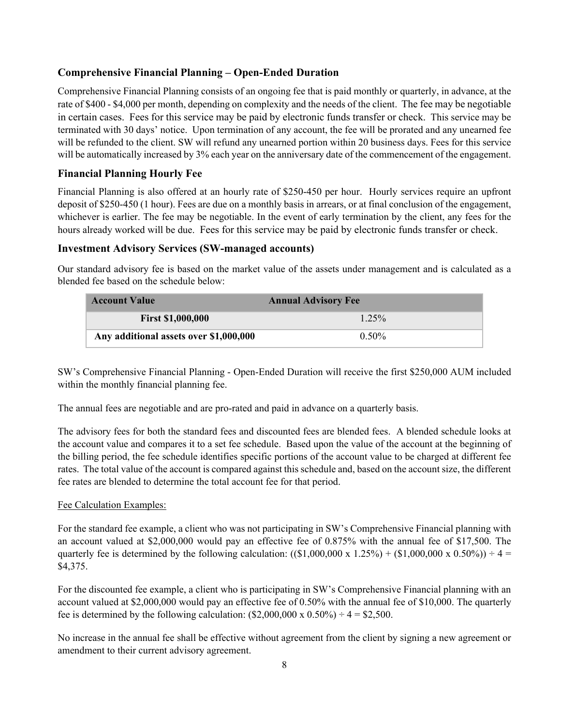#### **Comprehensive Financial Planning – Open-Ended Duration**

Comprehensive Financial Planning consists of an ongoing fee that is paid monthly or quarterly, in advance, at the rate of \$400 - \$4,000 per month, depending on complexity and the needs of the client. The fee may be negotiable in certain cases. Fees for this service may be paid by electronic funds transfer or check. This service may be terminated with 30 days' notice. Upon termination of any account, the fee will be prorated and any unearned fee will be refunded to the client. SW will refund any unearned portion within 20 business days. Fees for this service will be automatically increased by 3% each year on the anniversary date of the commencement of the engagement.

### **Financial Planning Hourly Fee**

Financial Planning is also offered at an hourly rate of \$250-450 per hour. Hourly services require an upfront deposit of \$250-450 (1 hour). Fees are due on a monthly basis in arrears, or at final conclusion of the engagement, whichever is earlier. The fee may be negotiable. In the event of early termination by the client, any fees for the hours already worked will be due. Fees for this service may be paid by electronic funds transfer or check.

#### **Investment Advisory Services (SW-managed accounts)**

Our standard advisory fee is based on the market value of the assets under management and is calculated as a blended fee based on the schedule below:

| <b>Account Value</b>                   | <b>Annual Advisory Fee</b> |
|----------------------------------------|----------------------------|
| <b>First \$1,000,000</b>               | $1.25\%$                   |
| Any additional assets over \$1,000,000 | $0.50\%$                   |

SW's Comprehensive Financial Planning - Open-Ended Duration will receive the first \$250,000 AUM included within the monthly financial planning fee.

The annual fees are negotiable and are pro-rated and paid in advance on a quarterly basis.

The advisory fees for both the standard fees and discounted fees are blended fees. A blended schedule looks at the account value and compares it to a set fee schedule. Based upon the value of the account at the beginning of the billing period, the fee schedule identifies specific portions of the account value to be charged at different fee rates. The total value of the account is compared against this schedule and, based on the account size, the different fee rates are blended to determine the total account fee for that period.

#### Fee Calculation Examples:

For the standard fee example, a client who was not participating in SW's Comprehensive Financial planning with an account valued at \$2,000,000 would pay an effective fee of 0.875% with the annual fee of \$17,500. The quarterly fee is determined by the following calculation:  $((\$1,000,000 \times 1.25%) + (\$1,000,000 \times 0.50%) = 4 =$ \$4,375.

For the discounted fee example, a client who is participating in SW's Comprehensive Financial planning with an account valued at \$2,000,000 would pay an effective fee of 0.50% with the annual fee of \$10,000. The quarterly fee is determined by the following calculation:  $(\$2,000,000 \times 0.50\%) \div 4 = \$2,500$ .

No increase in the annual fee shall be effective without agreement from the client by signing a new agreement or amendment to their current advisory agreement.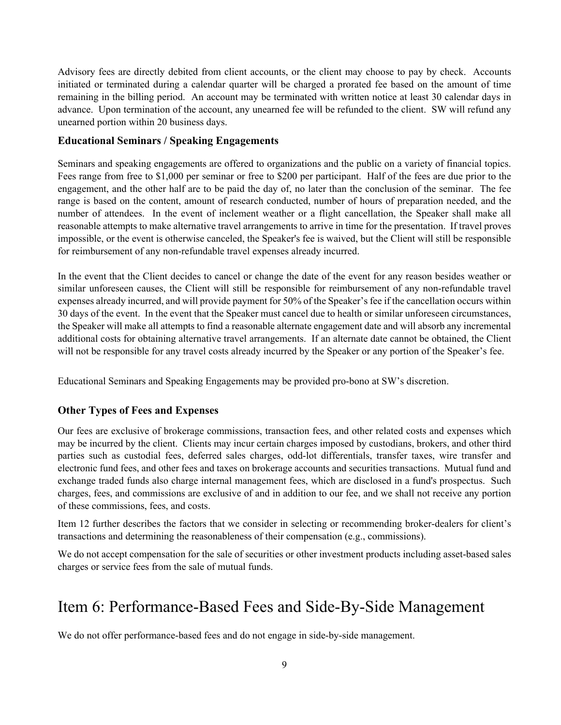Advisory fees are directly debited from client accounts, or the client may choose to pay by check. Accounts initiated or terminated during a calendar quarter will be charged a prorated fee based on the amount of time remaining in the billing period. An account may be terminated with written notice at least 30 calendar days in advance. Upon termination of the account, any unearned fee will be refunded to the client. SW will refund any unearned portion within 20 business days.

#### **Educational Seminars / Speaking Engagements**

Seminars and speaking engagements are offered to organizations and the public on a variety of financial topics. Fees range from free to \$1,000 per seminar or free to \$200 per participant. Half of the fees are due prior to the engagement, and the other half are to be paid the day of, no later than the conclusion of the seminar. The fee range is based on the content, amount of research conducted, number of hours of preparation needed, and the number of attendees. In the event of inclement weather or a flight cancellation, the Speaker shall make all reasonable attempts to make alternative travel arrangements to arrive in time for the presentation. If travel proves impossible, or the event is otherwise canceled, the Speaker's fee is waived, but the Client will still be responsible for reimbursement of any non-refundable travel expenses already incurred.

In the event that the Client decides to cancel or change the date of the event for any reason besides weather or similar unforeseen causes, the Client will still be responsible for reimbursement of any non-refundable travel expenses already incurred, and will provide payment for 50% of the Speaker's fee if the cancellation occurs within 30 days of the event. In the event that the Speaker must cancel due to health or similar unforeseen circumstances, the Speaker will make all attempts to find a reasonable alternate engagement date and will absorb any incremental additional costs for obtaining alternative travel arrangements. If an alternate date cannot be obtained, the Client will not be responsible for any travel costs already incurred by the Speaker or any portion of the Speaker's fee.

Educational Seminars and Speaking Engagements may be provided pro-bono at SW's discretion.

#### **Other Types of Fees and Expenses**

Our fees are exclusive of brokerage commissions, transaction fees, and other related costs and expenses which may be incurred by the client. Clients may incur certain charges imposed by custodians, brokers, and other third parties such as custodial fees, deferred sales charges, odd-lot differentials, transfer taxes, wire transfer and electronic fund fees, and other fees and taxes on brokerage accounts and securities transactions. Mutual fund and exchange traded funds also charge internal management fees, which are disclosed in a fund's prospectus. Such charges, fees, and commissions are exclusive of and in addition to our fee, and we shall not receive any portion of these commissions, fees, and costs.

Item 12 further describes the factors that we consider in selecting or recommending broker-dealers for client's transactions and determining the reasonableness of their compensation (e.g., commissions).

We do not accept compensation for the sale of securities or other investment products including asset-based sales charges or service fees from the sale of mutual funds.

## Item 6: Performance-Based Fees and Side-By-Side Management

We do not offer performance-based fees and do not engage in side-by-side management.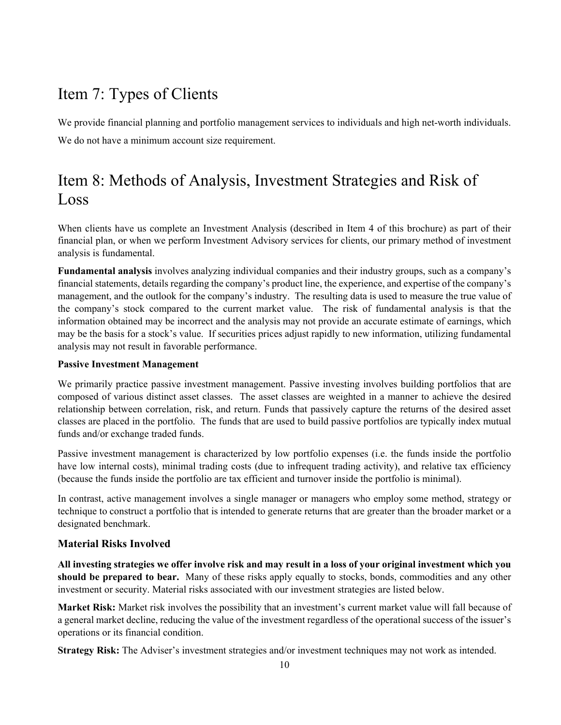# Item 7: Types of Clients

We provide financial planning and portfolio management services to individuals and high net-worth individuals. We do not have a minimum account size requirement.

# Item 8: Methods of Analysis, Investment Strategies and Risk of Loss

When clients have us complete an Investment Analysis (described in Item 4 of this brochure) as part of their financial plan, or when we perform Investment Advisory services for clients, our primary method of investment analysis is fundamental.

**Fundamental analysis** involves analyzing individual companies and their industry groups, such as a company's financial statements, details regarding the company's product line, the experience, and expertise of the company's management, and the outlook for the company's industry. The resulting data is used to measure the true value of the company's stock compared to the current market value. The risk of fundamental analysis is that the information obtained may be incorrect and the analysis may not provide an accurate estimate of earnings, which may be the basis for a stock's value. If securities prices adjust rapidly to new information, utilizing fundamental analysis may not result in favorable performance.

#### **Passive Investment Management**

We primarily practice passive investment management. Passive investing involves building portfolios that are composed of various distinct asset classes. The asset classes are weighted in a manner to achieve the desired relationship between correlation, risk, and return. Funds that passively capture the returns of the desired asset classes are placed in the portfolio. The funds that are used to build passive portfolios are typically index mutual funds and/or exchange traded funds.

Passive investment management is characterized by low portfolio expenses (i.e. the funds inside the portfolio have low internal costs), minimal trading costs (due to infrequent trading activity), and relative tax efficiency (because the funds inside the portfolio are tax efficient and turnover inside the portfolio is minimal).

In contrast, active management involves a single manager or managers who employ some method, strategy or technique to construct a portfolio that is intended to generate returns that are greater than the broader market or a designated benchmark.

#### **Material Risks Involved**

**All investing strategies we offer involve risk and may result in a loss of your original investment which you should be prepared to bear.** Many of these risks apply equally to stocks, bonds, commodities and any other investment or security. Material risks associated with our investment strategies are listed below.

**Market Risk:** Market risk involves the possibility that an investment's current market value will fall because of a general market decline, reducing the value of the investment regardless of the operational success of the issuer's operations or its financial condition.

**Strategy Risk:** The Adviser's investment strategies and/or investment techniques may not work as intended.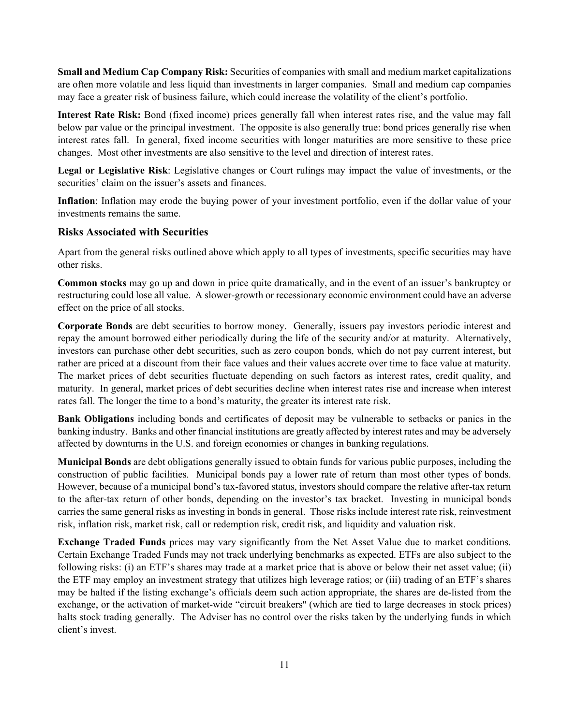**Small and Medium Cap Company Risk:** Securities of companies with small and medium market capitalizations are often more volatile and less liquid than investments in larger companies. Small and medium cap companies may face a greater risk of business failure, which could increase the volatility of the client's portfolio.

**Interest Rate Risk:** Bond (fixed income) prices generally fall when interest rates rise, and the value may fall below par value or the principal investment. The opposite is also generally true: bond prices generally rise when interest rates fall. In general, fixed income securities with longer maturities are more sensitive to these price changes. Most other investments are also sensitive to the level and direction of interest rates.

**Legal or Legislative Risk**: Legislative changes or Court rulings may impact the value of investments, or the securities' claim on the issuer's assets and finances.

**Inflation**: Inflation may erode the buying power of your investment portfolio, even if the dollar value of your investments remains the same.

#### **Risks Associated with Securities**

Apart from the general risks outlined above which apply to all types of investments, specific securities may have other risks.

**Common stocks** may go up and down in price quite dramatically, and in the event of an issuer's bankruptcy or restructuring could lose all value. A slower-growth or recessionary economic environment could have an adverse effect on the price of all stocks.

**Corporate Bonds** are debt securities to borrow money. Generally, issuers pay investors periodic interest and repay the amount borrowed either periodically during the life of the security and/or at maturity. Alternatively, investors can purchase other debt securities, such as zero coupon bonds, which do not pay current interest, but rather are priced at a discount from their face values and their values accrete over time to face value at maturity. The market prices of debt securities fluctuate depending on such factors as interest rates, credit quality, and maturity. In general, market prices of debt securities decline when interest rates rise and increase when interest rates fall. The longer the time to a bond's maturity, the greater its interest rate risk.

**Bank Obligations** including bonds and certificates of deposit may be vulnerable to setbacks or panics in the banking industry. Banks and other financial institutions are greatly affected by interest rates and may be adversely affected by downturns in the U.S. and foreign economies or changes in banking regulations.

**Municipal Bonds** are debt obligations generally issued to obtain funds for various public purposes, including the construction of public facilities. Municipal bonds pay a lower rate of return than most other types of bonds. However, because of a municipal bond's tax-favored status, investors should compare the relative after-tax return to the after-tax return of other bonds, depending on the investor's tax bracket. Investing in municipal bonds carries the same general risks as investing in bonds in general. Those risks include interest rate risk, reinvestment risk, inflation risk, market risk, call or redemption risk, credit risk, and liquidity and valuation risk.

**Exchange Traded Funds** prices may vary significantly from the Net Asset Value due to market conditions. Certain Exchange Traded Funds may not track underlying benchmarks as expected. ETFs are also subject to the following risks: (i) an ETF's shares may trade at a market price that is above or below their net asset value; (ii) the ETF may employ an investment strategy that utilizes high leverage ratios; or (iii) trading of an ETF's shares may be halted if the listing exchange's officials deem such action appropriate, the shares are de-listed from the exchange, or the activation of market-wide "circuit breakers'' (which are tied to large decreases in stock prices) halts stock trading generally. The Adviser has no control over the risks taken by the underlying funds in which client's invest.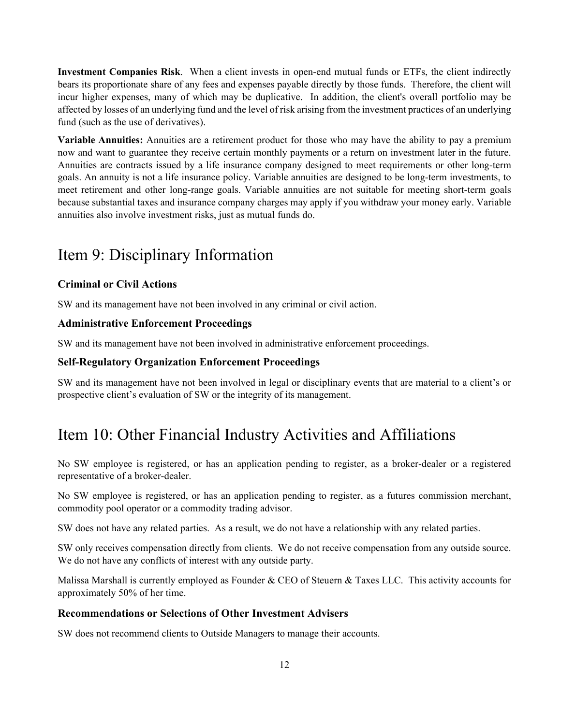**Investment Companies Risk**. When a client invests in open-end mutual funds or ETFs, the client indirectly bears its proportionate share of any fees and expenses payable directly by those funds. Therefore, the client will incur higher expenses, many of which may be duplicative. In addition, the client's overall portfolio may be affected by losses of an underlying fund and the level of risk arising from the investment practices of an underlying fund (such as the use of derivatives).

**Variable Annuities:** Annuities are a retirement product for those who may have the ability to pay a premium now and want to guarantee they receive certain monthly payments or a return on investment later in the future. Annuities are contracts issued by a life insurance company designed to meet requirements or other long-term goals. An annuity is not a life insurance policy. Variable annuities are designed to be long-term investments, to meet retirement and other long-range goals. Variable annuities are not suitable for meeting short-term goals because substantial taxes and insurance company charges may apply if you withdraw your money early. Variable annuities also involve investment risks, just as mutual funds do.

# Item 9: Disciplinary Information

#### **Criminal or Civil Actions**

SW and its management have not been involved in any criminal or civil action.

#### **Administrative Enforcement Proceedings**

SW and its management have not been involved in administrative enforcement proceedings.

#### **Self-Regulatory Organization Enforcement Proceedings**

SW and its management have not been involved in legal or disciplinary events that are material to a client's or prospective client's evaluation of SW or the integrity of its management.

# Item 10: Other Financial Industry Activities and Affiliations

No SW employee is registered, or has an application pending to register, as a broker-dealer or a registered representative of a broker-dealer.

No SW employee is registered, or has an application pending to register, as a futures commission merchant, commodity pool operator or a commodity trading advisor.

SW does not have any related parties. As a result, we do not have a relationship with any related parties.

SW only receives compensation directly from clients. We do not receive compensation from any outside source. We do not have any conflicts of interest with any outside party.

Malissa Marshall is currently employed as Founder & CEO of Steuern & Taxes LLC. This activity accounts for approximately 50% of her time.

#### **Recommendations or Selections of Other Investment Advisers**

SW does not recommend clients to Outside Managers to manage their accounts.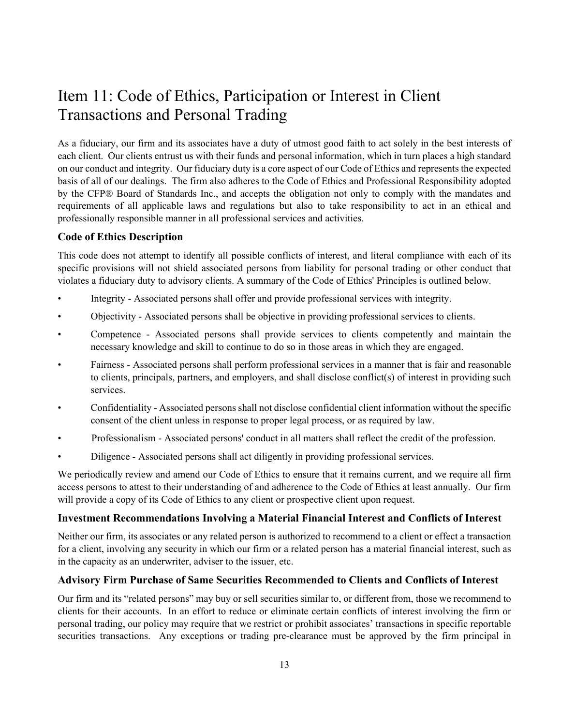# Item 11: Code of Ethics, Participation or Interest in Client Transactions and Personal Trading

As a fiduciary, our firm and its associates have a duty of utmost good faith to act solely in the best interests of each client. Our clients entrust us with their funds and personal information, which in turn places a high standard on our conduct and integrity. Our fiduciary duty is a core aspect of our Code of Ethics and represents the expected basis of all of our dealings. The firm also adheres to the Code of Ethics and Professional Responsibility adopted by the CFP® Board of Standards Inc., and accepts the obligation not only to comply with the mandates and requirements of all applicable laws and regulations but also to take responsibility to act in an ethical and professionally responsible manner in all professional services and activities.

#### **Code of Ethics Description**

This code does not attempt to identify all possible conflicts of interest, and literal compliance with each of its specific provisions will not shield associated persons from liability for personal trading or other conduct that violates a fiduciary duty to advisory clients. A summary of the Code of Ethics' Principles is outlined below.

- Integrity Associated persons shall offer and provide professional services with integrity.
- Objectivity Associated persons shall be objective in providing professional services to clients.
- Competence Associated persons shall provide services to clients competently and maintain the necessary knowledge and skill to continue to do so in those areas in which they are engaged.
- Fairness Associated persons shall perform professional services in a manner that is fair and reasonable to clients, principals, partners, and employers, and shall disclose conflict(s) of interest in providing such services.
- Confidentiality Associated persons shall not disclose confidential client information without the specific consent of the client unless in response to proper legal process, or as required by law.
- Professionalism Associated persons' conduct in all matters shall reflect the credit of the profession.
- Diligence Associated persons shall act diligently in providing professional services.

We periodically review and amend our Code of Ethics to ensure that it remains current, and we require all firm access persons to attest to their understanding of and adherence to the Code of Ethics at least annually. Our firm will provide a copy of its Code of Ethics to any client or prospective client upon request.

#### **Investment Recommendations Involving a Material Financial Interest and Conflicts of Interest**

Neither our firm, its associates or any related person is authorized to recommend to a client or effect a transaction for a client, involving any security in which our firm or a related person has a material financial interest, such as in the capacity as an underwriter, adviser to the issuer, etc.

#### **Advisory Firm Purchase of Same Securities Recommended to Clients and Conflicts of Interest**

Our firm and its "related persons" may buy or sell securities similar to, or different from, those we recommend to clients for their accounts. In an effort to reduce or eliminate certain conflicts of interest involving the firm or personal trading, our policy may require that we restrict or prohibit associates' transactions in specific reportable securities transactions. Any exceptions or trading pre-clearance must be approved by the firm principal in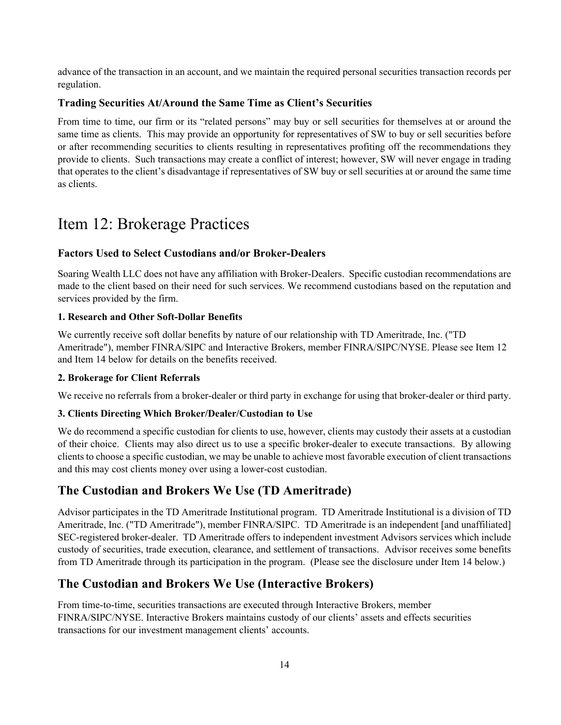advance of the transaction in an account, and we maintain the required personal securities transaction records per regulation.

#### **Trading Securities At/Around the Same Time as Client's Securities**

From time to time, our firm or its "related persons" may buy or sell securities for themselves at or around the same time as clients. This may provide an opportunity for representatives of SW to buy or sell securities before or after recommending securities to clients resulting in representatives profiting off the recommendations they provide to clients. Such transactions may create a conflict of interest; however, SW will never engage in trading that operates to the client's disadvantage if representatives of SW buy or sell securities at or around the same time as clients.

# Item 12: Brokerage Practices

#### **Factors Used to Select Custodians and/or Broker-Dealers**

Soaring Wealth LLC does not have any affiliation with Broker-Dealers. Specific custodian recommendations are made to the client based on their need for such services. We recommend custodians based on the reputation and services provided by the firm.

#### **1. Research and Other Soft-Dollar Benefits**

We currently receive soft dollar benefits by nature of our relationship with TD Ameritrade, Inc. ("TD Ameritrade"), member FINRA/SIPC and Interactive Brokers, member FINRA/SIPC/NYSE. Please see Item 12 and Item 14 below for details on the benefits received.

#### **2. Brokerage for Client Referrals**

We receive no referrals from a broker-dealer or third party in exchange for using that broker-dealer or third party.

#### **3. Clients Directing Which Broker/Dealer/Custodian to Use**

We do recommend a specific custodian for clients to use, however, clients may custody their assets at a custodian of their choice. Clients may also direct us to use a specific broker-dealer to execute transactions. By allowing clients to choose a specific custodian, we may be unable to achieve most favorable execution of client transactions and this may cost clients money over using a lower-cost custodian.

### **The Custodian and Brokers We Use (TD Ameritrade)**

Advisor participates in the TD Ameritrade Institutional program. TD Ameritrade Institutional is a division of TD Ameritrade, Inc. ("TD Ameritrade"), member FINRA/SIPC. TD Ameritrade is an independent [and unaffiliated] SEC-registered broker-dealer. TD Ameritrade offers to independent investment Advisors services which include custody of securities, trade execution, clearance, and settlement of transactions. Advisor receives some benefits from TD Ameritrade through its participation in the program. (Please see the disclosure under Item 14 below.)

## **The Custodian and Brokers We Use (Interactive Brokers)**

From time-to-time, securities transactions are executed through Interactive Brokers, member FINRA/SIPC/NYSE. Interactive Brokers maintains custody of our clients' assets and effects securities transactions for our investment management clients' accounts.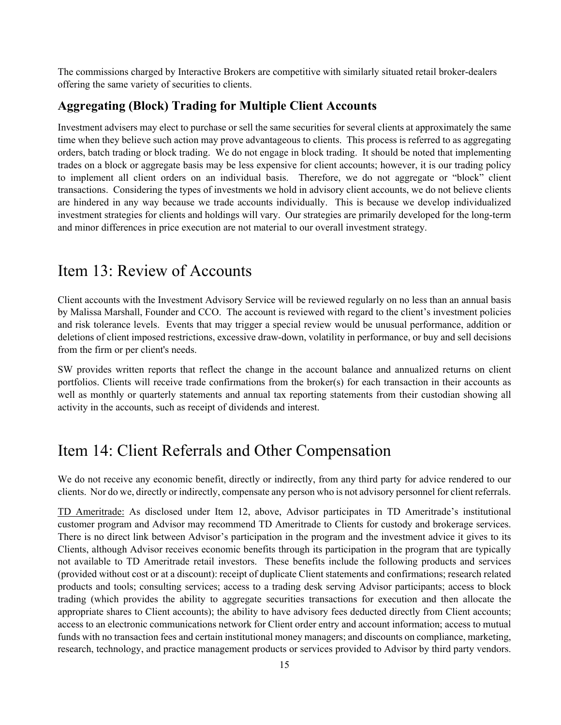The commissions charged by Interactive Brokers are competitive with similarly situated retail broker-dealers offering the same variety of securities to clients.

#### **Aggregating (Block) Trading for Multiple Client Accounts**

Investment advisers may elect to purchase or sell the same securities for several clients at approximately the same time when they believe such action may prove advantageous to clients. This process is referred to as aggregating orders, batch trading or block trading. We do not engage in block trading. It should be noted that implementing trades on a block or aggregate basis may be less expensive for client accounts; however, it is our trading policy to implement all client orders on an individual basis. Therefore, we do not aggregate or "block" client transactions. Considering the types of investments we hold in advisory client accounts, we do not believe clients are hindered in any way because we trade accounts individually. This is because we develop individualized investment strategies for clients and holdings will vary. Our strategies are primarily developed for the long-term and minor differences in price execution are not material to our overall investment strategy.

# Item 13: Review of Accounts

Client accounts with the Investment Advisory Service will be reviewed regularly on no less than an annual basis by Malissa Marshall, Founder and CCO. The account is reviewed with regard to the client's investment policies and risk tolerance levels. Events that may trigger a special review would be unusual performance, addition or deletions of client imposed restrictions, excessive draw-down, volatility in performance, or buy and sell decisions from the firm or per client's needs.

SW provides written reports that reflect the change in the account balance and annualized returns on client portfolios. Clients will receive trade confirmations from the broker(s) for each transaction in their accounts as well as monthly or quarterly statements and annual tax reporting statements from their custodian showing all activity in the accounts, such as receipt of dividends and interest.

## Item 14: Client Referrals and Other Compensation

We do not receive any economic benefit, directly or indirectly, from any third party for advice rendered to our clients. Nor do we, directly or indirectly, compensate any person who is not advisory personnel for client referrals.

TD Ameritrade: As disclosed under Item 12, above, Advisor participates in TD Ameritrade's institutional customer program and Advisor may recommend TD Ameritrade to Clients for custody and brokerage services. There is no direct link between Advisor's participation in the program and the investment advice it gives to its Clients, although Advisor receives economic benefits through its participation in the program that are typically not available to TD Ameritrade retail investors. These benefits include the following products and services (provided without cost or at a discount): receipt of duplicate Client statements and confirmations; research related products and tools; consulting services; access to a trading desk serving Advisor participants; access to block trading (which provides the ability to aggregate securities transactions for execution and then allocate the appropriate shares to Client accounts); the ability to have advisory fees deducted directly from Client accounts; access to an electronic communications network for Client order entry and account information; access to mutual funds with no transaction fees and certain institutional money managers; and discounts on compliance, marketing, research, technology, and practice management products or services provided to Advisor by third party vendors.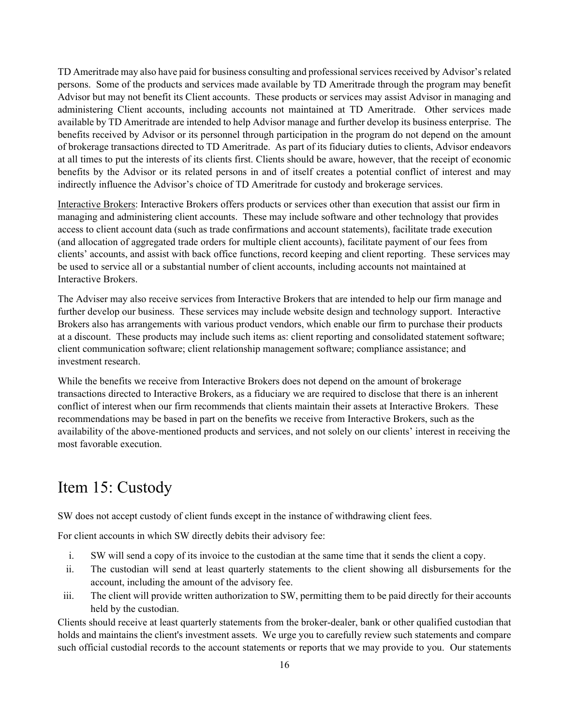TD Ameritrade may also have paid for business consulting and professional services received by Advisor's related persons. Some of the products and services made available by TD Ameritrade through the program may benefit Advisor but may not benefit its Client accounts. These products or services may assist Advisor in managing and administering Client accounts, including accounts not maintained at TD Ameritrade. Other services made available by TD Ameritrade are intended to help Advisor manage and further develop its business enterprise. The benefits received by Advisor or its personnel through participation in the program do not depend on the amount of brokerage transactions directed to TD Ameritrade. As part of its fiduciary duties to clients, Advisor endeavors at all times to put the interests of its clients first. Clients should be aware, however, that the receipt of economic benefits by the Advisor or its related persons in and of itself creates a potential conflict of interest and may indirectly influence the Advisor's choice of TD Ameritrade for custody and brokerage services.

Interactive Brokers: Interactive Brokers offers products or services other than execution that assist our firm in managing and administering client accounts. These may include software and other technology that provides access to client account data (such as trade confirmations and account statements), facilitate trade execution (and allocation of aggregated trade orders for multiple client accounts), facilitate payment of our fees from clients' accounts, and assist with back office functions, record keeping and client reporting. These services may be used to service all or a substantial number of client accounts, including accounts not maintained at Interactive Brokers.

The Adviser may also receive services from Interactive Brokers that are intended to help our firm manage and further develop our business. These services may include website design and technology support. Interactive Brokers also has arrangements with various product vendors, which enable our firm to purchase their products at a discount. These products may include such items as: client reporting and consolidated statement software; client communication software; client relationship management software; compliance assistance; and investment research.

While the benefits we receive from Interactive Brokers does not depend on the amount of brokerage transactions directed to Interactive Brokers, as a fiduciary we are required to disclose that there is an inherent conflict of interest when our firm recommends that clients maintain their assets at Interactive Brokers. These recommendations may be based in part on the benefits we receive from Interactive Brokers, such as the availability of the above-mentioned products and services, and not solely on our clients' interest in receiving the most favorable execution.

# Item 15: Custody

SW does not accept custody of client funds except in the instance of withdrawing client fees.

For client accounts in which SW directly debits their advisory fee:

- i. SW will send a copy of its invoice to the custodian at the same time that it sends the client a copy.
- ii. The custodian will send at least quarterly statements to the client showing all disbursements for the account, including the amount of the advisory fee.
- iii. The client will provide written authorization to SW, permitting them to be paid directly for their accounts held by the custodian.

Clients should receive at least quarterly statements from the broker-dealer, bank or other qualified custodian that holds and maintains the client's investment assets. We urge you to carefully review such statements and compare such official custodial records to the account statements or reports that we may provide to you. Our statements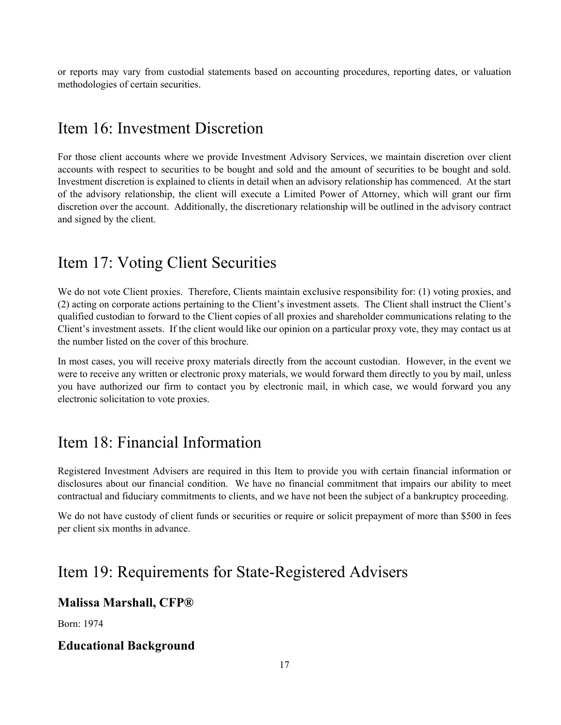or reports may vary from custodial statements based on accounting procedures, reporting dates, or valuation methodologies of certain securities.

# Item 16: Investment Discretion

For those client accounts where we provide Investment Advisory Services, we maintain discretion over client accounts with respect to securities to be bought and sold and the amount of securities to be bought and sold. Investment discretion is explained to clients in detail when an advisory relationship has commenced. At the start of the advisory relationship, the client will execute a Limited Power of Attorney, which will grant our firm discretion over the account. Additionally, the discretionary relationship will be outlined in the advisory contract and signed by the client.

## Item 17: Voting Client Securities

We do not vote Client proxies. Therefore, Clients maintain exclusive responsibility for: (1) voting proxies, and (2) acting on corporate actions pertaining to the Client's investment assets. The Client shall instruct the Client's qualified custodian to forward to the Client copies of all proxies and shareholder communications relating to the Client's investment assets. If the client would like our opinion on a particular proxy vote, they may contact us at the number listed on the cover of this brochure.

In most cases, you will receive proxy materials directly from the account custodian. However, in the event we were to receive any written or electronic proxy materials, we would forward them directly to you by mail, unless you have authorized our firm to contact you by electronic mail, in which case, we would forward you any electronic solicitation to vote proxies.

# Item 18: Financial Information

Registered Investment Advisers are required in this Item to provide you with certain financial information or disclosures about our financial condition. We have no financial commitment that impairs our ability to meet contractual and fiduciary commitments to clients, and we have not been the subject of a bankruptcy proceeding.

We do not have custody of client funds or securities or require or solicit prepayment of more than \$500 in fees per client six months in advance.

# Item 19: Requirements for State-Registered Advisers

#### **Malissa Marshall, CFP®**

Born: 1974

#### **Educational Background**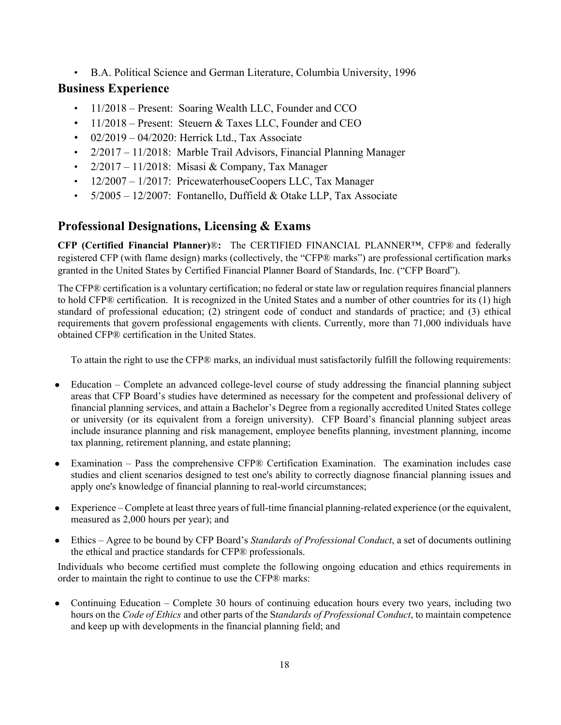• B.A. Political Science and German Literature, Columbia University, 1996

## **Business Experience**

- 11/2018 Present: Soaring Wealth LLC, Founder and CCO
- 11/2018 Present: Steuern & Taxes LLC, Founder and CEO
- $02/2019 04/2020$ : Herrick Ltd., Tax Associate
- 2/2017 11/2018: Marble Trail Advisors, Financial Planning Manager
- $2/2017 11/2018$ : Misasi & Company, Tax Manager
- 12/2007 1/2017: PricewaterhouseCoopers LLC, Tax Manager
- 5/2005 12/2007: Fontanello, Duffield & Otake LLP, Tax Associate

## **Professional Designations, Licensing & Exams**

**CFP (Certified Financial Planner)**®**:** The CERTIFIED FINANCIAL PLANNER™, CFP® and federally registered CFP (with flame design) marks (collectively, the "CFP® marks") are professional certification marks granted in the United States by Certified Financial Planner Board of Standards, Inc. ("CFP Board").

The CFP® certification is a voluntary certification; no federal or state law or regulation requires financial planners to hold CFP® certification. It is recognized in the United States and a number of other countries for its (1) high standard of professional education; (2) stringent code of conduct and standards of practice; and (3) ethical requirements that govern professional engagements with clients. Currently, more than 71,000 individuals have obtained CFP® certification in the United States.

To attain the right to use the CFP® marks, an individual must satisfactorily fulfill the following requirements:

- Education Complete an advanced college-level course of study addressing the financial planning subject areas that CFP Board's studies have determined as necessary for the competent and professional delivery of financial planning services, and attain a Bachelor's Degree from a regionally accredited United States college or university (or its equivalent from a foreign university). CFP Board's financial planning subject areas include insurance planning and risk management, employee benefits planning, investment planning, income tax planning, retirement planning, and estate planning;
- Examination Pass the comprehensive CFP® Certification Examination. The examination includes case studies and client scenarios designed to test one's ability to correctly diagnose financial planning issues and apply one's knowledge of financial planning to real-world circumstances;
- Experience Complete at least three years of full-time financial planning-related experience (or the equivalent, measured as 2,000 hours per year); and
- Ethics Agree to be bound by CFP Board's *Standards of Professional Conduct*, a set of documents outlining the ethical and practice standards for CFP® professionals.

Individuals who become certified must complete the following ongoing education and ethics requirements in order to maintain the right to continue to use the CFP® marks:

• Continuing Education – Complete 30 hours of continuing education hours every two years, including two hours on the *Code of Ethics* and other parts of the S*tandards of Professional Conduct*, to maintain competence and keep up with developments in the financial planning field; and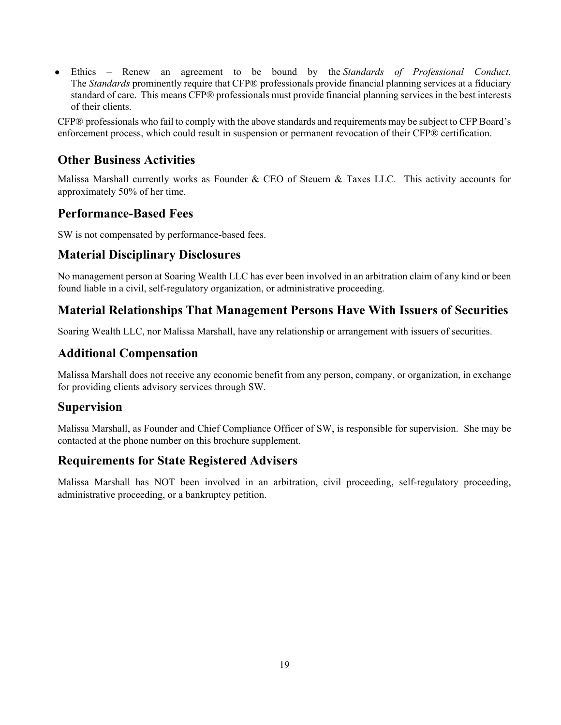● Ethics – Renew an agreement to be bound by the *Standards of Professional Conduct*. The *Standards* prominently require that CFP® professionals provide financial planning services at a fiduciary standard of care. This means CFP® professionals must provide financial planning services in the best interests of their clients.

CFP® professionals who fail to comply with the above standards and requirements may be subject to CFP Board's enforcement process, which could result in suspension or permanent revocation of their CFP® certification.

## **Other Business Activities**

Malissa Marshall currently works as Founder & CEO of Steuern & Taxes LLC. This activity accounts for approximately 50% of her time.

## **Performance-Based Fees**

SW is not compensated by performance-based fees.

### **Material Disciplinary Disclosures**

No management person at Soaring Wealth LLC has ever been involved in an arbitration claim of any kind or been found liable in a civil, self-regulatory organization, or administrative proceeding.

## **Material Relationships That Management Persons Have With Issuers of Securities**

Soaring Wealth LLC, nor Malissa Marshall, have any relationship or arrangement with issuers of securities.

## **Additional Compensation**

Malissa Marshall does not receive any economic benefit from any person, company, or organization, in exchange for providing clients advisory services through SW.

### **Supervision**

Malissa Marshall, as Founder and Chief Compliance Officer of SW, is responsible for supervision. She may be contacted at the phone number on this brochure supplement.

## **Requirements for State Registered Advisers**

Malissa Marshall has NOT been involved in an arbitration, civil proceeding, self-regulatory proceeding, administrative proceeding, or a bankruptcy petition.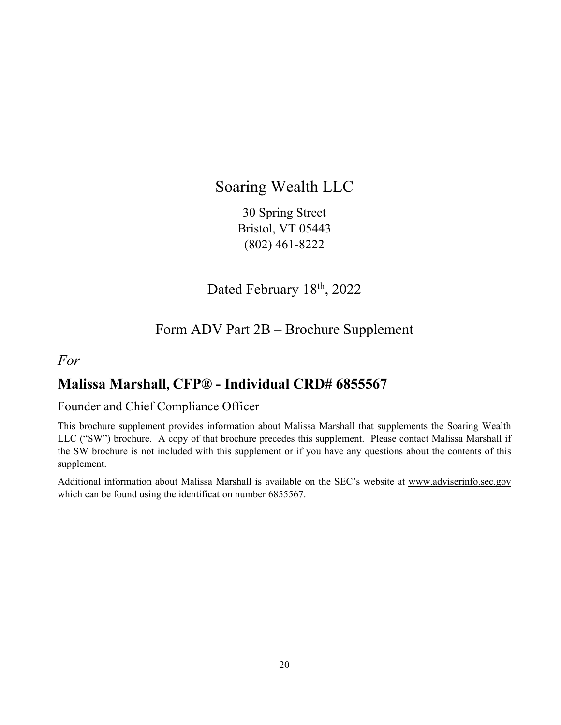# Soaring Wealth LLC

30 Spring Street Bristol, VT 05443 (802) 461-8222

Dated February 18th, 2022

# Form ADV Part 2B – Brochure Supplement

## *For*

# **Malissa Marshall, CFP® - Individual CRD# 6855567**

## Founder and Chief Compliance Officer

This brochure supplement provides information about Malissa Marshall that supplements the Soaring Wealth LLC ("SW") brochure. A copy of that brochure precedes this supplement. Please contact Malissa Marshall if the SW brochure is not included with this supplement or if you have any questions about the contents of this supplement.

Additional information about Malissa Marshall is available on the SEC's website at www.adviserinfo.sec.gov which can be found using the identification number 6855567.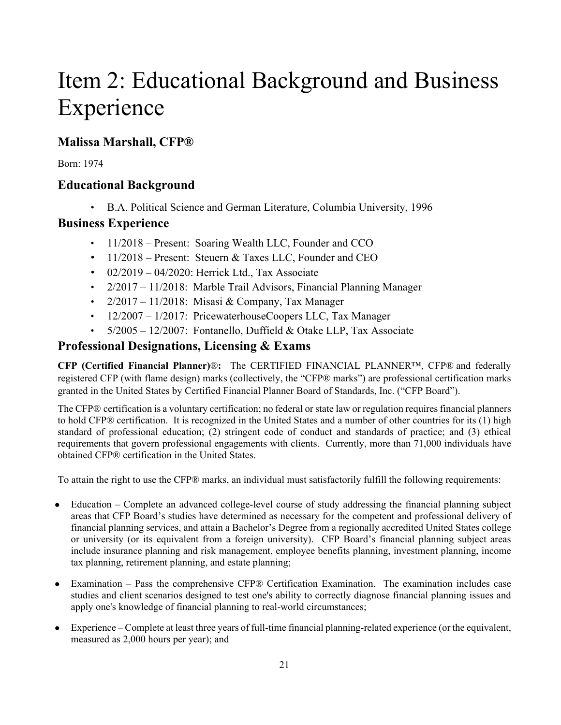# Item 2: Educational Background and Business Experience

## **Malissa Marshall, CFP®**

Born: 1974

## **Educational Background**

• B.A. Political Science and German Literature, Columbia University, 1996

## **Business Experience**

- 11/2018 Present: Soaring Wealth LLC, Founder and CCO
- 11/2018 Present: Steuern & Taxes LLC, Founder and CEO
- $\cdot$  02/2019 04/2020: Herrick Ltd., Tax Associate
- 2/2017 11/2018: Marble Trail Advisors, Financial Planning Manager
- $2/2017 11/2018$ : Misasi & Company, Tax Manager
- 12/2007 1/2017: PricewaterhouseCoopers LLC, Tax Manager
- $5/2005 12/2007$ : Fontanello, Duffield & Otake LLP, Tax Associate

## **Professional Designations, Licensing & Exams**

**CFP (Certified Financial Planner)**®**:** The CERTIFIED FINANCIAL PLANNER™, CFP® and federally registered CFP (with flame design) marks (collectively, the "CFP® marks") are professional certification marks granted in the United States by Certified Financial Planner Board of Standards, Inc. ("CFP Board").

The CFP® certification is a voluntary certification; no federal or state law or regulation requires financial planners to hold CFP® certification. It is recognized in the United States and a number of other countries for its (1) high standard of professional education; (2) stringent code of conduct and standards of practice; and (3) ethical requirements that govern professional engagements with clients. Currently, more than 71,000 individuals have obtained CFP® certification in the United States.

To attain the right to use the CFP® marks, an individual must satisfactorily fulfill the following requirements:

- Education Complete an advanced college-level course of study addressing the financial planning subject areas that CFP Board's studies have determined as necessary for the competent and professional delivery of financial planning services, and attain a Bachelor's Degree from a regionally accredited United States college or university (or its equivalent from a foreign university). CFP Board's financial planning subject areas include insurance planning and risk management, employee benefits planning, investment planning, income tax planning, retirement planning, and estate planning;
- Examination Pass the comprehensive CFP® Certification Examination. The examination includes case studies and client scenarios designed to test one's ability to correctly diagnose financial planning issues and apply one's knowledge of financial planning to real-world circumstances;
- Experience Complete at least three years of full-time financial planning-related experience (or the equivalent, measured as 2,000 hours per year); and